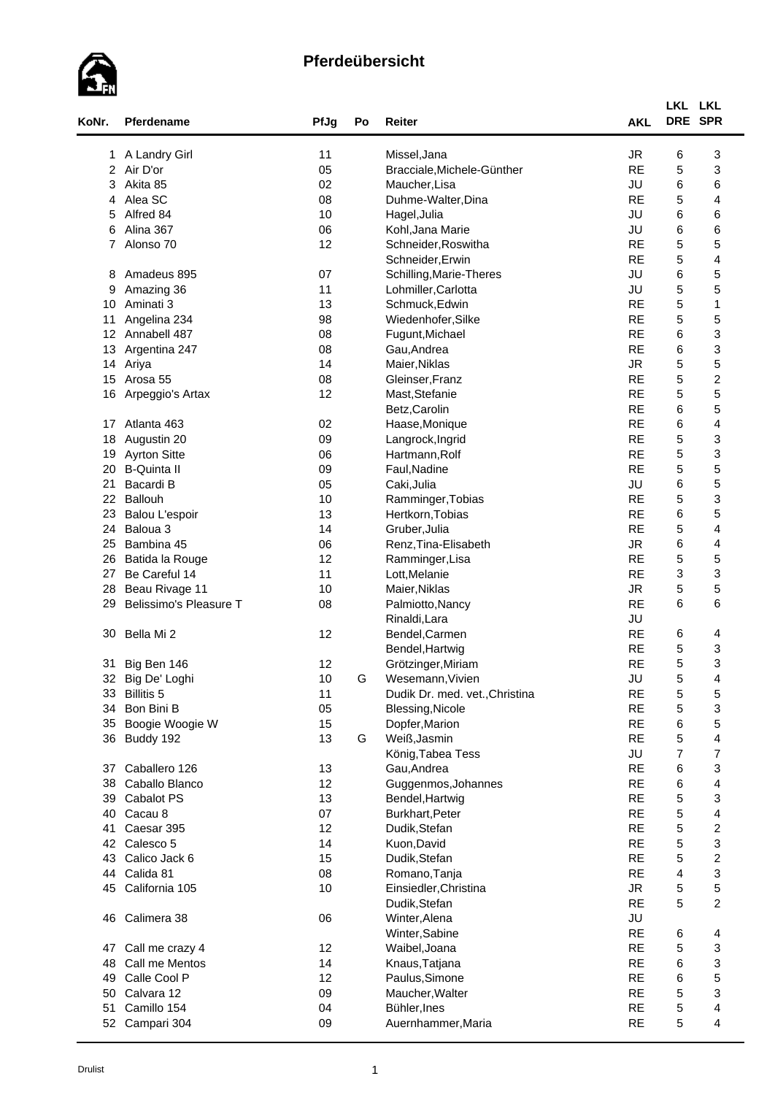

| KoNr.           | Pferdename             | PfJg | Po | Reiter                         | <b>AKL</b> | LKL LKL<br>DRE SPR      |                          |
|-----------------|------------------------|------|----|--------------------------------|------------|-------------------------|--------------------------|
|                 | 1 A Landry Girl        | 11   |    | Missel, Jana                   | <b>JR</b>  | 6                       | 3                        |
|                 | 2 Air D'or             | 05   |    | Bracciale, Michele-Günther     | <b>RE</b>  | 5                       | 3                        |
| 3               | Akita 85               | 02   |    | Maucher, Lisa                  | JU         | 6                       | 6                        |
| 4               | Alea SC                | 08   |    | Duhme-Walter, Dina             | <b>RE</b>  | 5                       | 4                        |
| 5.              | Alfred 84              | 10   |    | Hagel, Julia                   | JU         | 6                       | 6                        |
| 6               | Alina 367              | 06   |    | Kohl, Jana Marie               | JU         | 6                       | 6                        |
| 7               | Alonso 70              | 12   |    | Schneider, Roswitha            | <b>RE</b>  | 5                       | 5                        |
|                 |                        |      |    | Schneider, Erwin               | <b>RE</b>  | 5                       | 4                        |
| 8               | Amadeus 895            | 07   |    | Schilling, Marie-Theres        | JU         | 6                       | 5                        |
| 9               | Amazing 36             | 11   |    | Lohmiller, Carlotta            | JU         | 5                       | 5                        |
| 10              | Aminati <sub>3</sub>   | 13   |    | Schmuck, Edwin                 | <b>RE</b>  | 5                       | $\mathbf{1}$             |
| 11              | Angelina 234           | 98   |    | Wiedenhofer, Silke             | <b>RE</b>  | 5                       | 5                        |
| 12 <sup>°</sup> | Annabell 487           | 08   |    | Fugunt, Michael                | <b>RE</b>  | 6                       | 3                        |
| 13              | Argentina 247          | 08   |    | Gau, Andrea                    | <b>RE</b>  | 6                       | 3                        |
| 14              | Ariya                  | 14   |    | Maier, Niklas                  | <b>JR</b>  | $\mathbf 5$             | 5                        |
| 15              | Arosa 55               | 08   |    | Gleinser, Franz                | <b>RE</b>  | 5                       | $\overline{\mathbf{c}}$  |
| 16              | Arpeggio's Artax       | 12   |    | Mast, Stefanie                 | <b>RE</b>  | 5                       | 5                        |
|                 |                        |      |    |                                | <b>RE</b>  | 6                       | 5                        |
|                 | Atlanta 463            |      |    | Betz, Carolin                  | <b>RE</b>  | 6                       | 4                        |
| 17              |                        | 02   |    | Haase, Monique                 | <b>RE</b>  |                         |                          |
| 18              | Augustin 20            | 09   |    | Langrock, Ingrid               |            | 5                       | 3                        |
| 19              | <b>Ayrton Sitte</b>    | 06   |    | Hartmann, Rolf                 | <b>RE</b>  | 5                       | 3                        |
| 20              | <b>B-Quinta II</b>     | 09   |    | Faul, Nadine                   | <b>RE</b>  | 5                       | 5                        |
| 21              | Bacardi B              | 05   |    | Caki, Julia                    | JU         | 6                       | 5                        |
| 22              | Ballouh                | 10   |    | Ramminger, Tobias              | <b>RE</b>  | 5                       | 3                        |
| 23              | Balou L'espoir         | 13   |    | Hertkorn, Tobias               | <b>RE</b>  | 6                       | 5                        |
| 24              | Baloua <sub>3</sub>    | 14   |    | Gruber, Julia                  | <b>RE</b>  | $\mathbf 5$             | 4                        |
| 25              | Bambina 45             | 06   |    | Renz, Tina-Elisabeth           | <b>JR</b>  | 6                       | 4                        |
| 26              | Batida la Rouge        | 12   |    | Ramminger, Lisa                | <b>RE</b>  | 5                       | 5                        |
| 27              | Be Careful 14          | 11   |    | Lott, Melanie                  | <b>RE</b>  | 3                       | 3                        |
| 28              | Beau Rivage 11         | 10   |    | Maier, Niklas                  | <b>JR</b>  | 5                       | 5                        |
| 29              | Belissimo's Pleasure T | 08   |    | Palmiotto, Nancy               | <b>RE</b>  | 6                       | 6                        |
|                 |                        |      |    | Rinaldi, Lara                  | JU         |                         |                          |
| 30              | Bella Mi 2             | 12   |    | Bendel, Carmen                 | <b>RE</b>  | 6                       | 4                        |
|                 |                        |      |    | Bendel, Hartwig                | <b>RE</b>  | 5                       | 3                        |
|                 | 31 Big Ben 146         | 12   |    | Grötzinger, Miriam             | <b>RE</b>  | 5                       | 3                        |
|                 | 32 Big De' Loghi       | 10   | G  | Wesemann, Vivien               | JU         | $\mathbf 5$             | 4                        |
| 33              | <b>Billitis 5</b>      | 11   |    | Dudik Dr. med. vet., Christina | <b>RE</b>  | $\mathbf 5$             | 5                        |
| 34              | Bon Bini B             | 05   |    | Blessing, Nicole               | <b>RE</b>  | $\mathbf 5$             | 3                        |
| 35              | Boogie Woogie W        | 15   |    | Dopfer, Marion                 | <b>RE</b>  | 6                       | 5                        |
| 36              | Buddy 192              | 13   | G  | Weiß, Jasmin                   | <b>RE</b>  | 5                       | 4                        |
|                 |                        |      |    | König, Tabea Tess              | JU         | $\overline{7}$          | $\overline{\mathcal{I}}$ |
| 37              | Caballero 126          | 13   |    | Gau, Andrea                    | <b>RE</b>  | 6                       | 3                        |
| 38              | Caballo Blanco         | 12   |    | Guggenmos, Johannes            | <b>RE</b>  | 6                       | 4                        |
| 39              | Cabalot PS             | 13   |    | Bendel, Hartwig                | <b>RE</b>  | $\mathbf 5$             | 3                        |
| 40              | Cacau 8                | 07   |    | Burkhart, Peter                | <b>RE</b>  | $\mathbf 5$             | $\overline{\mathbf{4}}$  |
| 41              | Caesar 395             | 12   |    | Dudik, Stefan                  | <b>RE</b>  | 5                       | $\overline{\mathbf{c}}$  |
| 42              | Calesco 5              | 14   |    | Kuon, David                    | <b>RE</b>  | 5                       | 3                        |
| 43              | Calico Jack 6          | 15   |    | Dudik, Stefan                  | <b>RE</b>  | $\mathbf 5$             | $\overline{c}$           |
| 44              | Calida 81              | 08   |    | Romano, Tanja                  | <b>RE</b>  | $\overline{\mathbf{4}}$ | 3                        |
| 45              | California 105         | 10   |    | Einsiedler, Christina          | <b>JR</b>  | $\mathbf 5$             | 5                        |
|                 |                        |      |    | Dudik, Stefan                  | <b>RE</b>  | 5                       | $\overline{c}$           |
| 46              | Calimera 38            | 06   |    | Winter, Alena                  | JU         |                         |                          |
|                 |                        |      |    | Winter, Sabine                 | <b>RE</b>  | 6                       | 4                        |
| 47              | Call me crazy 4        | 12   |    | Waibel, Joana                  | <b>RE</b>  | $\mathbf 5$             | 3                        |
| 48              | Call me Mentos         | 14   |    | Knaus, Tatjana                 | <b>RE</b>  | 6                       | 3                        |
| 49              | Calle Cool P           | 12   |    | Paulus, Simone                 | <b>RE</b>  | 6                       | 5                        |
| 50              | Calvara 12             | 09   |    | Maucher, Walter                | <b>RE</b>  | $\mathbf 5$             | 3                        |
| 51              | Camillo 154            | 04   |    | Bühler, Ines                   | <b>RE</b>  | $\mathbf 5$             | 4                        |
| 52              | Campari 304            | 09   |    | Auernhammer, Maria             | RE         | 5                       | $\overline{\mathbf{4}}$  |
|                 |                        |      |    |                                |            |                         |                          |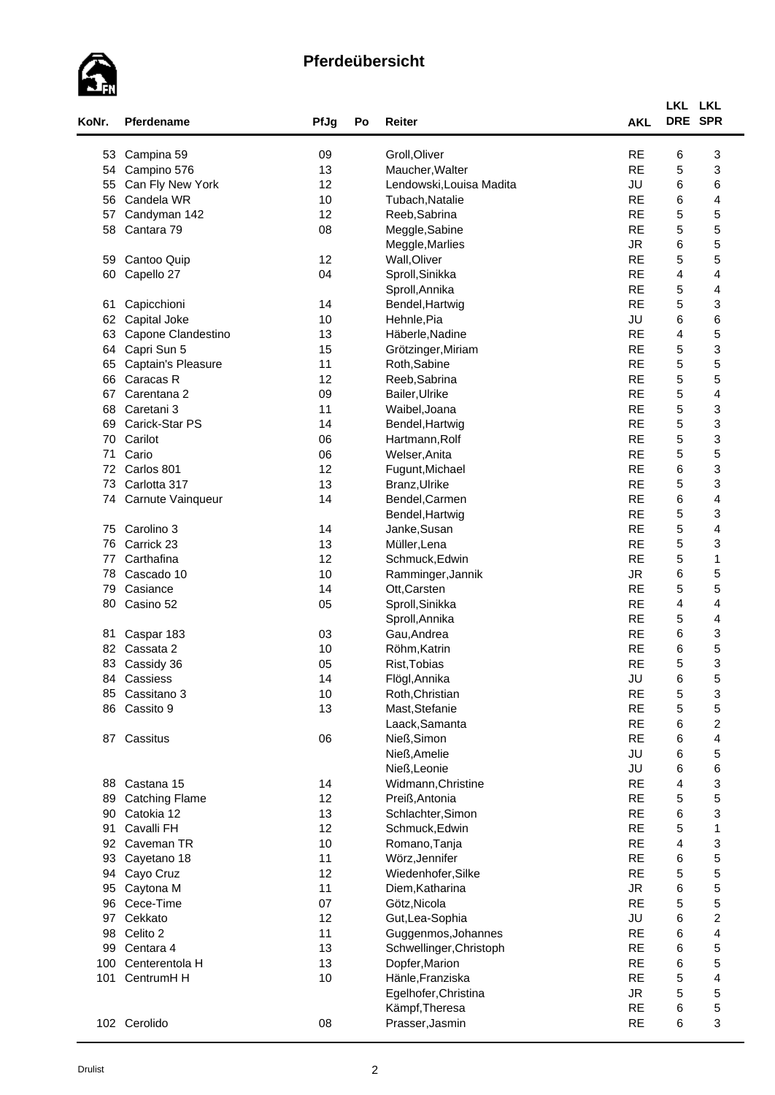

| KoNr. | Pferdename                 | PfJg     | Po | <b>Reiter</b>            | <b>AKL</b>             | LKL LKL                 | DRE SPR                 |
|-------|----------------------------|----------|----|--------------------------|------------------------|-------------------------|-------------------------|
| 53    |                            |          |    | Groll, Oliver            | <b>RE</b>              | 6                       | 3                       |
| 54    | Campina 59<br>Campino 576  | 09<br>13 |    | Maucher, Walter          | <b>RE</b>              | 5                       | 3                       |
| 55    | Can Fly New York           | 12       |    | Lendowski, Louisa Madita | JU                     | 6                       | 6                       |
| 56    | Candela WR                 | 10       |    |                          | <b>RE</b>              | 6                       | 4                       |
|       |                            | 12       |    | Tubach, Natalie          | <b>RE</b>              | 5                       |                         |
| 57    | Candyman 142<br>Cantara 79 |          |    | Reeb, Sabrina            | <b>RE</b>              |                         | 5                       |
| 58    |                            | 08       |    | Meggle, Sabine           |                        | 5                       | 5<br>5                  |
|       |                            |          |    | Meggle, Marlies          | <b>JR</b><br><b>RE</b> | 6                       |                         |
| 59    | Cantoo Quip                | 12       |    | Wall, Oliver             |                        | 5                       | 5                       |
| 60    | Capello 27                 | 04       |    | Sproll, Sinikka          | <b>RE</b><br><b>RE</b> | 4                       | 4<br>4                  |
|       |                            |          |    | Sproll, Annika           | <b>RE</b>              | $\mathbf 5$             |                         |
| 61    | Capicchioni                | 14       |    | Bendel, Hartwig          |                        | 5                       | 3                       |
| 62    | Capital Joke               | 10       |    | Hehnle, Pia              | JU<br><b>RE</b>        | 6                       | 6                       |
| 63    | Capone Clandestino         | 13       |    | Häberle, Nadine          | <b>RE</b>              | 4                       | 5                       |
| 64    | Capri Sun 5                | 15       |    | Grötzinger, Miriam       |                        | 5                       | 3                       |
| 65    | Captain's Pleasure         | 11       |    | Roth, Sabine             | <b>RE</b><br><b>RE</b> | 5<br>5                  | 5<br>5                  |
| 66    | Caracas R                  | 12       |    | Reeb, Sabrina            |                        |                         |                         |
| 67    | Carentana 2                | 09       |    | Bailer, Ulrike           | <b>RE</b>              | 5                       | 4                       |
| 68    | Caretani 3                 | 11       |    | Waibel, Joana            | <b>RE</b>              | $\mathbf 5$             | 3                       |
| 69    | Carick-Star PS             | 14       |    | Bendel, Hartwig          | <b>RE</b>              | 5                       | 3                       |
| 70    | Carilot                    | 06       |    | Hartmann, Rolf           | <b>RE</b>              | 5                       | 3                       |
| 71    | Cario                      | 06       |    | Welser, Anita            | <b>RE</b>              | 5                       | 5                       |
| 72    | Carlos 801                 | 12       |    | Fugunt, Michael          | <b>RE</b>              | 6                       | 3                       |
| 73    | Carlotta 317               | 13       |    | Branz, Ulrike            | <b>RE</b>              | 5                       | 3                       |
| 74    | Carnute Vainqueur          | 14       |    | Bendel, Carmen           | <b>RE</b>              | 6                       | 4                       |
|       |                            |          |    | Bendel, Hartwig          | <b>RE</b>              | 5                       | 3                       |
| 75    | Carolino 3                 | 14       |    | Janke, Susan             | <b>RE</b>              | 5                       | 4                       |
| 76    | Carrick 23                 | 13       |    | Müller, Lena             | <b>RE</b>              | 5                       | 3                       |
| 77    | Carthafina                 | 12       |    | Schmuck, Edwin           | <b>RE</b>              | 5                       | 1                       |
| 78    | Cascado 10                 | 10       |    | Ramminger, Jannik        | <b>JR</b>              | 6                       | 5                       |
| 79    | Casiance                   | 14       |    | Ott, Carsten             | <b>RE</b>              | 5                       | 5                       |
| 80    | Casino 52                  | 05       |    | Sproll, Sinikka          | <b>RE</b>              | $\overline{4}$          | 4                       |
|       |                            |          |    | Sproll, Annika           | <b>RE</b>              | 5                       | 4                       |
| 81    | Caspar 183                 | 03       |    | Gau, Andrea              | <b>RE</b>              | 6                       | 3                       |
|       | 82 Cassata 2               | 10       |    | Röhm, Katrin             | <b>RE</b>              | 6                       | 5                       |
| 83    | Cassidy 36                 | 05       |    | Rist, Tobias             | <b>RE</b>              | 5                       | 3                       |
|       | 84 Cassiess                | 14       |    | Flögl, Annika            | JU                     | 6                       | 5                       |
|       | 85 Cassitano 3             | 10       |    | Roth, Christian          | <b>RE</b>              | 5                       | 3                       |
|       | 86 Cassito 9               | 13       |    | Mast, Stefanie           | <b>RE</b>              | 5                       | 5                       |
|       |                            |          |    | Laack, Samanta           | <b>RE</b>              | 6                       | $\boldsymbol{2}$        |
|       | 87 Cassitus                | 06       |    | Nieß, Simon              | <b>RE</b>              | 6                       | 4                       |
|       |                            |          |    | Nieß, Amelie             | JU                     | 6                       | 5                       |
|       |                            |          |    | Nieß, Leonie             | JU                     | 6                       | 6                       |
| 88    | Castana 15                 | 14       |    | Widmann, Christine       | <b>RE</b>              | 4                       | 3                       |
| 89    | <b>Catching Flame</b>      | 12       |    | Preiß, Antonia           | <b>RE</b>              | 5                       | 5                       |
| 90    | Catokia 12                 | 13       |    | Schlachter, Simon        | <b>RE</b>              | 6                       | 3                       |
| 91    | Cavalli FH                 | 12       |    | Schmuck, Edwin           | <b>RE</b>              | $\mathbf 5$             | $\mathbf{1}$            |
| 92    | Caveman TR                 | 10       |    | Romano, Tanja            | <b>RE</b>              | $\overline{\mathbf{4}}$ | 3                       |
| 93    | Cayetano 18                | 11       |    | Wörz, Jennifer           | <b>RE</b>              | 6                       | 5                       |
| 94    | Cayo Cruz                  | 12       |    | Wiedenhofer, Silke       | <b>RE</b>              | 5                       | 5                       |
| 95    | Caytona M                  | 11       |    | Diem, Katharina          | <b>JR</b>              | 6                       | 5                       |
| 96    | Cece-Time                  | 07       |    | Götz, Nicola             | <b>RE</b>              | 5                       | 5                       |
| 97    | Cekkato                    | 12       |    | Gut, Lea-Sophia          | JU                     | 6                       | $\boldsymbol{2}$        |
| 98    | Celito 2                   | 11       |    | Guggenmos, Johannes      | <b>RE</b>              | 6                       | 4                       |
| 99    | Centara 4                  | 13       |    | Schwellinger, Christoph  | <b>RE</b>              | 6                       | 5                       |
| 100   | Centerentola H             | 13       |    | Dopfer, Marion           | <b>RE</b>              | 6                       | 5                       |
| 101   | CentrumH H                 | 10       |    | Hänle, Franziska         | <b>RE</b>              | 5                       | $\overline{\mathbf{4}}$ |
|       |                            |          |    | Egelhofer, Christina     | ${\sf JR}$             | 5                       | 5                       |
|       |                            |          |    | Kämpf, Theresa           | <b>RE</b>              | 6                       | 5                       |
|       | 102 Cerolido               | 08       |    | Prasser, Jasmin          | <b>RE</b>              | 6                       | 3                       |
|       |                            |          |    |                          |                        |                         |                         |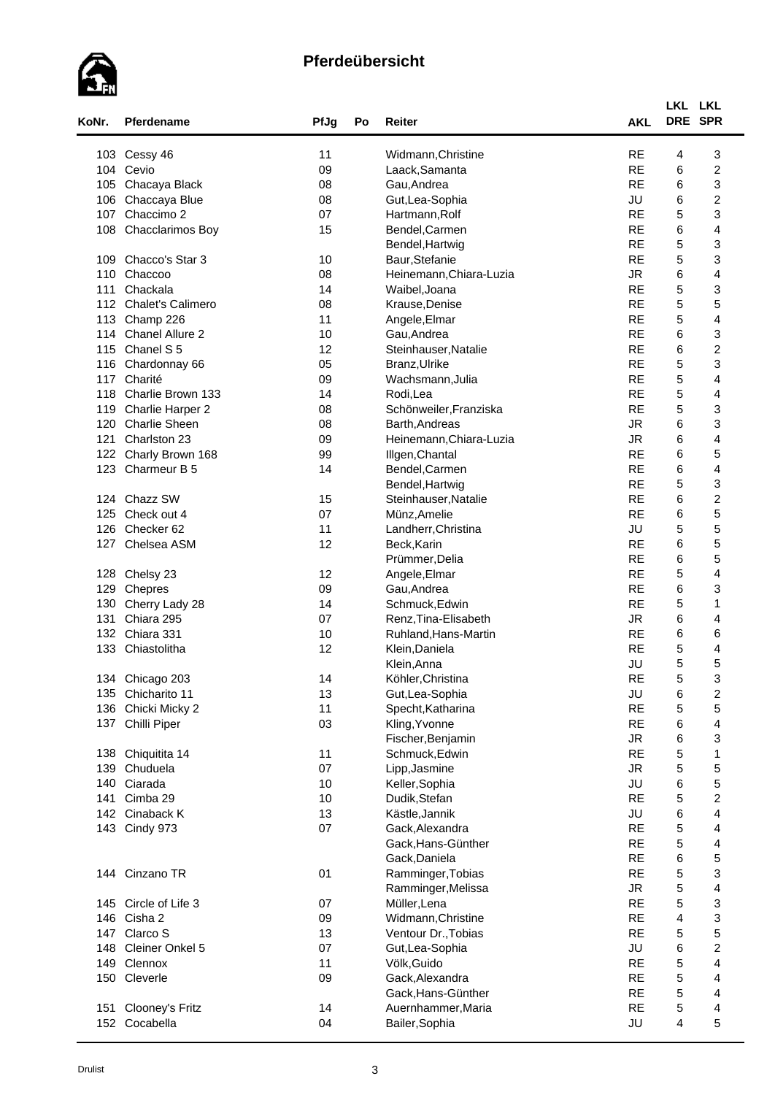

| KoNr.<br>Pferdename<br>PfJg<br>Po<br>Reiter<br>Widmann, Christine<br>103 Cessy 46<br>11<br>09<br>104 Cevio<br>Laack, Samanta<br>Gau, Andrea<br>105<br>Chacaya Black<br>08<br>106<br>Gut, Lea-Sophia<br>Chaccaya Blue<br>08<br>Chaccimo 2<br>07<br>Hartmann, Rolf<br>107<br>Chacclarimos Boy<br>Bendel, Carmen<br>108<br>15<br>Bendel, Hartwig<br>Chacco's Star 3<br>10<br>Baur, Stefanie<br>109<br>Chaccoo<br>Heinemann, Chiara-Luzia<br>110<br>08<br>111<br>Chackala<br>14<br>Waibel, Joana<br><b>Chalet's Calimero</b><br>08<br>112<br>Krause, Denise<br>11<br>113<br>Champ 226<br>Angele, Elmar<br>114<br>Chanel Allure 2<br>Gau, Andrea<br>10<br>115<br>Chanel S <sub>5</sub><br>12<br>Steinhauser, Natalie<br>05<br>Branz, Ulrike<br>116<br>Chardonnay 66<br>117<br>Charité<br>09<br>Wachsmann, Julia<br>Charlie Brown 133<br>118<br>14<br>Rodi,Lea<br>Schönweiler, Franziska<br>119<br>Charlie Harper 2<br>08<br><b>Charlie Sheen</b><br>120<br>08<br>Barth, Andreas<br>Charlston 23<br>09<br>121<br>Heinemann, Chiara-Luzia<br>Charly Brown 168<br>99<br>Illgen, Chantal<br>122<br>123<br>Charmeur B 5<br>14<br>Bendel, Carmen<br>Bendel, Hartwig<br>124 Chazz SW<br>15<br>Steinhauser, Natalie<br>125<br>07<br>Check out 4<br>Münz, Amelie<br>Checker 62<br>11<br>126<br>Landherr, Christina<br>Chelsea ASM<br>12<br>127<br>Beck, Karin<br>Prümmer, Delia<br>12<br>128 Chelsy 23<br>Angele, Elmar<br>129<br>Chepres<br>09<br>Gau, Andrea<br>130<br>Cherry Lady 28<br>14<br>Schmuck, Edwin<br>Chiara 295<br>07<br>Renz, Tina-Elisabeth<br>131<br>132<br>Chiara 331<br>10<br>Ruhland, Hans-Martin<br>133 Chiastolitha<br>12<br>Klein, Daniela<br>Klein, Anna<br>134 Chicago 203<br>Köhler, Christina<br>14<br>135 Chicharito 11<br>13<br>Gut, Lea-Sophia<br>11<br>Chicki Micky 2<br>136<br>Specht, Katharina<br>03<br>Kling, Yvonne<br>137<br>Chilli Piper<br>Fischer, Benjamin<br>138 Chiquitita 14<br>11<br>Schmuck, Edwin<br>Chuduela<br>07<br>Lipp, Jasmine<br>139<br>140<br>Ciarada<br>10<br>Keller, Sophia | <b>AKL</b><br><b>RE</b><br><b>RE</b><br><b>RE</b><br>JU<br><b>RE</b><br><b>RE</b><br><b>RE</b><br><b>RE</b><br><b>JR</b><br><b>RE</b><br><b>RE</b><br><b>RE</b><br><b>RE</b><br><b>RE</b><br><b>RE</b><br><b>RE</b><br><b>RE</b><br><b>RE</b><br><b>JR</b><br><b>JR</b><br><b>RE</b> | DRE SPR<br>4<br>6<br>6<br>6<br>5<br>6<br>5<br>5<br>6<br>5<br>5<br>5<br>6<br>6<br>5<br>5 | 3<br>$\overline{\mathbf{c}}$<br>3<br>$\boldsymbol{2}$<br>3<br>4<br>3<br>3<br>4<br>3<br>5<br>4<br>3 |
|------------------------------------------------------------------------------------------------------------------------------------------------------------------------------------------------------------------------------------------------------------------------------------------------------------------------------------------------------------------------------------------------------------------------------------------------------------------------------------------------------------------------------------------------------------------------------------------------------------------------------------------------------------------------------------------------------------------------------------------------------------------------------------------------------------------------------------------------------------------------------------------------------------------------------------------------------------------------------------------------------------------------------------------------------------------------------------------------------------------------------------------------------------------------------------------------------------------------------------------------------------------------------------------------------------------------------------------------------------------------------------------------------------------------------------------------------------------------------------------------------------------------------------------------------------------------------------------------------------------------------------------------------------------------------------------------------------------------------------------------------------------------------------------------------------------------------------------------------------------------------------------------------------------------------------------------------------------------------------------------------------------------|--------------------------------------------------------------------------------------------------------------------------------------------------------------------------------------------------------------------------------------------------------------------------------------|-----------------------------------------------------------------------------------------|----------------------------------------------------------------------------------------------------|
|                                                                                                                                                                                                                                                                                                                                                                                                                                                                                                                                                                                                                                                                                                                                                                                                                                                                                                                                                                                                                                                                                                                                                                                                                                                                                                                                                                                                                                                                                                                                                                                                                                                                                                                                                                                                                                                                                                                                                                                                                        |                                                                                                                                                                                                                                                                                      |                                                                                         |                                                                                                    |
|                                                                                                                                                                                                                                                                                                                                                                                                                                                                                                                                                                                                                                                                                                                                                                                                                                                                                                                                                                                                                                                                                                                                                                                                                                                                                                                                                                                                                                                                                                                                                                                                                                                                                                                                                                                                                                                                                                                                                                                                                        |                                                                                                                                                                                                                                                                                      |                                                                                         |                                                                                                    |
|                                                                                                                                                                                                                                                                                                                                                                                                                                                                                                                                                                                                                                                                                                                                                                                                                                                                                                                                                                                                                                                                                                                                                                                                                                                                                                                                                                                                                                                                                                                                                                                                                                                                                                                                                                                                                                                                                                                                                                                                                        |                                                                                                                                                                                                                                                                                      |                                                                                         |                                                                                                    |
|                                                                                                                                                                                                                                                                                                                                                                                                                                                                                                                                                                                                                                                                                                                                                                                                                                                                                                                                                                                                                                                                                                                                                                                                                                                                                                                                                                                                                                                                                                                                                                                                                                                                                                                                                                                                                                                                                                                                                                                                                        |                                                                                                                                                                                                                                                                                      |                                                                                         |                                                                                                    |
|                                                                                                                                                                                                                                                                                                                                                                                                                                                                                                                                                                                                                                                                                                                                                                                                                                                                                                                                                                                                                                                                                                                                                                                                                                                                                                                                                                                                                                                                                                                                                                                                                                                                                                                                                                                                                                                                                                                                                                                                                        |                                                                                                                                                                                                                                                                                      |                                                                                         |                                                                                                    |
|                                                                                                                                                                                                                                                                                                                                                                                                                                                                                                                                                                                                                                                                                                                                                                                                                                                                                                                                                                                                                                                                                                                                                                                                                                                                                                                                                                                                                                                                                                                                                                                                                                                                                                                                                                                                                                                                                                                                                                                                                        |                                                                                                                                                                                                                                                                                      |                                                                                         |                                                                                                    |
|                                                                                                                                                                                                                                                                                                                                                                                                                                                                                                                                                                                                                                                                                                                                                                                                                                                                                                                                                                                                                                                                                                                                                                                                                                                                                                                                                                                                                                                                                                                                                                                                                                                                                                                                                                                                                                                                                                                                                                                                                        |                                                                                                                                                                                                                                                                                      |                                                                                         |                                                                                                    |
|                                                                                                                                                                                                                                                                                                                                                                                                                                                                                                                                                                                                                                                                                                                                                                                                                                                                                                                                                                                                                                                                                                                                                                                                                                                                                                                                                                                                                                                                                                                                                                                                                                                                                                                                                                                                                                                                                                                                                                                                                        |                                                                                                                                                                                                                                                                                      |                                                                                         |                                                                                                    |
|                                                                                                                                                                                                                                                                                                                                                                                                                                                                                                                                                                                                                                                                                                                                                                                                                                                                                                                                                                                                                                                                                                                                                                                                                                                                                                                                                                                                                                                                                                                                                                                                                                                                                                                                                                                                                                                                                                                                                                                                                        |                                                                                                                                                                                                                                                                                      |                                                                                         |                                                                                                    |
|                                                                                                                                                                                                                                                                                                                                                                                                                                                                                                                                                                                                                                                                                                                                                                                                                                                                                                                                                                                                                                                                                                                                                                                                                                                                                                                                                                                                                                                                                                                                                                                                                                                                                                                                                                                                                                                                                                                                                                                                                        |                                                                                                                                                                                                                                                                                      |                                                                                         |                                                                                                    |
|                                                                                                                                                                                                                                                                                                                                                                                                                                                                                                                                                                                                                                                                                                                                                                                                                                                                                                                                                                                                                                                                                                                                                                                                                                                                                                                                                                                                                                                                                                                                                                                                                                                                                                                                                                                                                                                                                                                                                                                                                        |                                                                                                                                                                                                                                                                                      |                                                                                         |                                                                                                    |
|                                                                                                                                                                                                                                                                                                                                                                                                                                                                                                                                                                                                                                                                                                                                                                                                                                                                                                                                                                                                                                                                                                                                                                                                                                                                                                                                                                                                                                                                                                                                                                                                                                                                                                                                                                                                                                                                                                                                                                                                                        |                                                                                                                                                                                                                                                                                      |                                                                                         |                                                                                                    |
|                                                                                                                                                                                                                                                                                                                                                                                                                                                                                                                                                                                                                                                                                                                                                                                                                                                                                                                                                                                                                                                                                                                                                                                                                                                                                                                                                                                                                                                                                                                                                                                                                                                                                                                                                                                                                                                                                                                                                                                                                        |                                                                                                                                                                                                                                                                                      |                                                                                         |                                                                                                    |
|                                                                                                                                                                                                                                                                                                                                                                                                                                                                                                                                                                                                                                                                                                                                                                                                                                                                                                                                                                                                                                                                                                                                                                                                                                                                                                                                                                                                                                                                                                                                                                                                                                                                                                                                                                                                                                                                                                                                                                                                                        |                                                                                                                                                                                                                                                                                      |                                                                                         |                                                                                                    |
|                                                                                                                                                                                                                                                                                                                                                                                                                                                                                                                                                                                                                                                                                                                                                                                                                                                                                                                                                                                                                                                                                                                                                                                                                                                                                                                                                                                                                                                                                                                                                                                                                                                                                                                                                                                                                                                                                                                                                                                                                        |                                                                                                                                                                                                                                                                                      |                                                                                         | $\overline{\mathbf{c}}$                                                                            |
|                                                                                                                                                                                                                                                                                                                                                                                                                                                                                                                                                                                                                                                                                                                                                                                                                                                                                                                                                                                                                                                                                                                                                                                                                                                                                                                                                                                                                                                                                                                                                                                                                                                                                                                                                                                                                                                                                                                                                                                                                        |                                                                                                                                                                                                                                                                                      |                                                                                         | 3                                                                                                  |
|                                                                                                                                                                                                                                                                                                                                                                                                                                                                                                                                                                                                                                                                                                                                                                                                                                                                                                                                                                                                                                                                                                                                                                                                                                                                                                                                                                                                                                                                                                                                                                                                                                                                                                                                                                                                                                                                                                                                                                                                                        |                                                                                                                                                                                                                                                                                      |                                                                                         | 4                                                                                                  |
|                                                                                                                                                                                                                                                                                                                                                                                                                                                                                                                                                                                                                                                                                                                                                                                                                                                                                                                                                                                                                                                                                                                                                                                                                                                                                                                                                                                                                                                                                                                                                                                                                                                                                                                                                                                                                                                                                                                                                                                                                        |                                                                                                                                                                                                                                                                                      | 5                                                                                       | 4                                                                                                  |
|                                                                                                                                                                                                                                                                                                                                                                                                                                                                                                                                                                                                                                                                                                                                                                                                                                                                                                                                                                                                                                                                                                                                                                                                                                                                                                                                                                                                                                                                                                                                                                                                                                                                                                                                                                                                                                                                                                                                                                                                                        |                                                                                                                                                                                                                                                                                      | 5                                                                                       | 3                                                                                                  |
|                                                                                                                                                                                                                                                                                                                                                                                                                                                                                                                                                                                                                                                                                                                                                                                                                                                                                                                                                                                                                                                                                                                                                                                                                                                                                                                                                                                                                                                                                                                                                                                                                                                                                                                                                                                                                                                                                                                                                                                                                        |                                                                                                                                                                                                                                                                                      | 6                                                                                       | 3                                                                                                  |
|                                                                                                                                                                                                                                                                                                                                                                                                                                                                                                                                                                                                                                                                                                                                                                                                                                                                                                                                                                                                                                                                                                                                                                                                                                                                                                                                                                                                                                                                                                                                                                                                                                                                                                                                                                                                                                                                                                                                                                                                                        |                                                                                                                                                                                                                                                                                      | 6                                                                                       | $\overline{\mathbf{4}}$                                                                            |
|                                                                                                                                                                                                                                                                                                                                                                                                                                                                                                                                                                                                                                                                                                                                                                                                                                                                                                                                                                                                                                                                                                                                                                                                                                                                                                                                                                                                                                                                                                                                                                                                                                                                                                                                                                                                                                                                                                                                                                                                                        |                                                                                                                                                                                                                                                                                      | 6                                                                                       | 5                                                                                                  |
|                                                                                                                                                                                                                                                                                                                                                                                                                                                                                                                                                                                                                                                                                                                                                                                                                                                                                                                                                                                                                                                                                                                                                                                                                                                                                                                                                                                                                                                                                                                                                                                                                                                                                                                                                                                                                                                                                                                                                                                                                        | <b>RE</b>                                                                                                                                                                                                                                                                            | 6                                                                                       | 4                                                                                                  |
|                                                                                                                                                                                                                                                                                                                                                                                                                                                                                                                                                                                                                                                                                                                                                                                                                                                                                                                                                                                                                                                                                                                                                                                                                                                                                                                                                                                                                                                                                                                                                                                                                                                                                                                                                                                                                                                                                                                                                                                                                        | <b>RE</b>                                                                                                                                                                                                                                                                            | 5                                                                                       | 3                                                                                                  |
|                                                                                                                                                                                                                                                                                                                                                                                                                                                                                                                                                                                                                                                                                                                                                                                                                                                                                                                                                                                                                                                                                                                                                                                                                                                                                                                                                                                                                                                                                                                                                                                                                                                                                                                                                                                                                                                                                                                                                                                                                        | <b>RE</b>                                                                                                                                                                                                                                                                            | 6                                                                                       | $\boldsymbol{2}$                                                                                   |
|                                                                                                                                                                                                                                                                                                                                                                                                                                                                                                                                                                                                                                                                                                                                                                                                                                                                                                                                                                                                                                                                                                                                                                                                                                                                                                                                                                                                                                                                                                                                                                                                                                                                                                                                                                                                                                                                                                                                                                                                                        | <b>RE</b>                                                                                                                                                                                                                                                                            | 6                                                                                       | 5                                                                                                  |
|                                                                                                                                                                                                                                                                                                                                                                                                                                                                                                                                                                                                                                                                                                                                                                                                                                                                                                                                                                                                                                                                                                                                                                                                                                                                                                                                                                                                                                                                                                                                                                                                                                                                                                                                                                                                                                                                                                                                                                                                                        | JU                                                                                                                                                                                                                                                                                   | 5                                                                                       | 5                                                                                                  |
|                                                                                                                                                                                                                                                                                                                                                                                                                                                                                                                                                                                                                                                                                                                                                                                                                                                                                                                                                                                                                                                                                                                                                                                                                                                                                                                                                                                                                                                                                                                                                                                                                                                                                                                                                                                                                                                                                                                                                                                                                        | <b>RE</b>                                                                                                                                                                                                                                                                            | 6                                                                                       | 5                                                                                                  |
|                                                                                                                                                                                                                                                                                                                                                                                                                                                                                                                                                                                                                                                                                                                                                                                                                                                                                                                                                                                                                                                                                                                                                                                                                                                                                                                                                                                                                                                                                                                                                                                                                                                                                                                                                                                                                                                                                                                                                                                                                        | <b>RE</b>                                                                                                                                                                                                                                                                            | 6                                                                                       | 5                                                                                                  |
|                                                                                                                                                                                                                                                                                                                                                                                                                                                                                                                                                                                                                                                                                                                                                                                                                                                                                                                                                                                                                                                                                                                                                                                                                                                                                                                                                                                                                                                                                                                                                                                                                                                                                                                                                                                                                                                                                                                                                                                                                        | <b>RE</b>                                                                                                                                                                                                                                                                            | 5                                                                                       | 4                                                                                                  |
|                                                                                                                                                                                                                                                                                                                                                                                                                                                                                                                                                                                                                                                                                                                                                                                                                                                                                                                                                                                                                                                                                                                                                                                                                                                                                                                                                                                                                                                                                                                                                                                                                                                                                                                                                                                                                                                                                                                                                                                                                        | <b>RE</b><br><b>RE</b>                                                                                                                                                                                                                                                               | 6                                                                                       | 3                                                                                                  |
|                                                                                                                                                                                                                                                                                                                                                                                                                                                                                                                                                                                                                                                                                                                                                                                                                                                                                                                                                                                                                                                                                                                                                                                                                                                                                                                                                                                                                                                                                                                                                                                                                                                                                                                                                                                                                                                                                                                                                                                                                        | <b>JR</b>                                                                                                                                                                                                                                                                            | 5                                                                                       | $\mathbf{1}$                                                                                       |
|                                                                                                                                                                                                                                                                                                                                                                                                                                                                                                                                                                                                                                                                                                                                                                                                                                                                                                                                                                                                                                                                                                                                                                                                                                                                                                                                                                                                                                                                                                                                                                                                                                                                                                                                                                                                                                                                                                                                                                                                                        |                                                                                                                                                                                                                                                                                      | 6                                                                                       | 4                                                                                                  |
|                                                                                                                                                                                                                                                                                                                                                                                                                                                                                                                                                                                                                                                                                                                                                                                                                                                                                                                                                                                                                                                                                                                                                                                                                                                                                                                                                                                                                                                                                                                                                                                                                                                                                                                                                                                                                                                                                                                                                                                                                        | <b>RE</b><br><b>RE</b>                                                                                                                                                                                                                                                               | 6                                                                                       | 6                                                                                                  |
|                                                                                                                                                                                                                                                                                                                                                                                                                                                                                                                                                                                                                                                                                                                                                                                                                                                                                                                                                                                                                                                                                                                                                                                                                                                                                                                                                                                                                                                                                                                                                                                                                                                                                                                                                                                                                                                                                                                                                                                                                        | JU                                                                                                                                                                                                                                                                                   | $\mathbf 5$<br>5                                                                        | 4<br>5                                                                                             |
|                                                                                                                                                                                                                                                                                                                                                                                                                                                                                                                                                                                                                                                                                                                                                                                                                                                                                                                                                                                                                                                                                                                                                                                                                                                                                                                                                                                                                                                                                                                                                                                                                                                                                                                                                                                                                                                                                                                                                                                                                        | RE                                                                                                                                                                                                                                                                                   |                                                                                         |                                                                                                    |
|                                                                                                                                                                                                                                                                                                                                                                                                                                                                                                                                                                                                                                                                                                                                                                                                                                                                                                                                                                                                                                                                                                                                                                                                                                                                                                                                                                                                                                                                                                                                                                                                                                                                                                                                                                                                                                                                                                                                                                                                                        | JU                                                                                                                                                                                                                                                                                   | $\mathbf 5$<br>6                                                                        | 3<br>$\boldsymbol{2}$                                                                              |
|                                                                                                                                                                                                                                                                                                                                                                                                                                                                                                                                                                                                                                                                                                                                                                                                                                                                                                                                                                                                                                                                                                                                                                                                                                                                                                                                                                                                                                                                                                                                                                                                                                                                                                                                                                                                                                                                                                                                                                                                                        | <b>RE</b>                                                                                                                                                                                                                                                                            | 5                                                                                       | 5                                                                                                  |
|                                                                                                                                                                                                                                                                                                                                                                                                                                                                                                                                                                                                                                                                                                                                                                                                                                                                                                                                                                                                                                                                                                                                                                                                                                                                                                                                                                                                                                                                                                                                                                                                                                                                                                                                                                                                                                                                                                                                                                                                                        | <b>RE</b>                                                                                                                                                                                                                                                                            | 6                                                                                       | 4                                                                                                  |
|                                                                                                                                                                                                                                                                                                                                                                                                                                                                                                                                                                                                                                                                                                                                                                                                                                                                                                                                                                                                                                                                                                                                                                                                                                                                                                                                                                                                                                                                                                                                                                                                                                                                                                                                                                                                                                                                                                                                                                                                                        | <b>JR</b>                                                                                                                                                                                                                                                                            | 6                                                                                       | 3                                                                                                  |
|                                                                                                                                                                                                                                                                                                                                                                                                                                                                                                                                                                                                                                                                                                                                                                                                                                                                                                                                                                                                                                                                                                                                                                                                                                                                                                                                                                                                                                                                                                                                                                                                                                                                                                                                                                                                                                                                                                                                                                                                                        | <b>RE</b>                                                                                                                                                                                                                                                                            | 5                                                                                       | 1                                                                                                  |
|                                                                                                                                                                                                                                                                                                                                                                                                                                                                                                                                                                                                                                                                                                                                                                                                                                                                                                                                                                                                                                                                                                                                                                                                                                                                                                                                                                                                                                                                                                                                                                                                                                                                                                                                                                                                                                                                                                                                                                                                                        | <b>JR</b>                                                                                                                                                                                                                                                                            | 5                                                                                       | 5                                                                                                  |
|                                                                                                                                                                                                                                                                                                                                                                                                                                                                                                                                                                                                                                                                                                                                                                                                                                                                                                                                                                                                                                                                                                                                                                                                                                                                                                                                                                                                                                                                                                                                                                                                                                                                                                                                                                                                                                                                                                                                                                                                                        | JU                                                                                                                                                                                                                                                                                   | 6                                                                                       | 5                                                                                                  |
| 141<br>Cimba 29<br>10                                                                                                                                                                                                                                                                                                                                                                                                                                                                                                                                                                                                                                                                                                                                                                                                                                                                                                                                                                                                                                                                                                                                                                                                                                                                                                                                                                                                                                                                                                                                                                                                                                                                                                                                                                                                                                                                                                                                                                                                  | <b>RE</b>                                                                                                                                                                                                                                                                            | 5                                                                                       | $\boldsymbol{2}$                                                                                   |
| Dudik, Stefan<br>13<br>Cinaback K<br>Kästle, Jannik<br>142                                                                                                                                                                                                                                                                                                                                                                                                                                                                                                                                                                                                                                                                                                                                                                                                                                                                                                                                                                                                                                                                                                                                                                                                                                                                                                                                                                                                                                                                                                                                                                                                                                                                                                                                                                                                                                                                                                                                                             | JU                                                                                                                                                                                                                                                                                   | 6                                                                                       | $\overline{\mathbf{4}}$                                                                            |
| 143 Cindy 973<br>07<br>Gack, Alexandra                                                                                                                                                                                                                                                                                                                                                                                                                                                                                                                                                                                                                                                                                                                                                                                                                                                                                                                                                                                                                                                                                                                                                                                                                                                                                                                                                                                                                                                                                                                                                                                                                                                                                                                                                                                                                                                                                                                                                                                 | <b>RE</b>                                                                                                                                                                                                                                                                            | 5                                                                                       | 4                                                                                                  |
| Gack, Hans-Günther                                                                                                                                                                                                                                                                                                                                                                                                                                                                                                                                                                                                                                                                                                                                                                                                                                                                                                                                                                                                                                                                                                                                                                                                                                                                                                                                                                                                                                                                                                                                                                                                                                                                                                                                                                                                                                                                                                                                                                                                     | <b>RE</b>                                                                                                                                                                                                                                                                            | $\mathbf 5$                                                                             | 4                                                                                                  |
| Gack, Daniela                                                                                                                                                                                                                                                                                                                                                                                                                                                                                                                                                                                                                                                                                                                                                                                                                                                                                                                                                                                                                                                                                                                                                                                                                                                                                                                                                                                                                                                                                                                                                                                                                                                                                                                                                                                                                                                                                                                                                                                                          | <b>RE</b>                                                                                                                                                                                                                                                                            | 6                                                                                       | 5                                                                                                  |
| 01<br>144 Cinzano TR<br>Ramminger, Tobias                                                                                                                                                                                                                                                                                                                                                                                                                                                                                                                                                                                                                                                                                                                                                                                                                                                                                                                                                                                                                                                                                                                                                                                                                                                                                                                                                                                                                                                                                                                                                                                                                                                                                                                                                                                                                                                                                                                                                                              | <b>RE</b>                                                                                                                                                                                                                                                                            | 5                                                                                       | 3                                                                                                  |
| Ramminger, Melissa                                                                                                                                                                                                                                                                                                                                                                                                                                                                                                                                                                                                                                                                                                                                                                                                                                                                                                                                                                                                                                                                                                                                                                                                                                                                                                                                                                                                                                                                                                                                                                                                                                                                                                                                                                                                                                                                                                                                                                                                     | <b>JR</b>                                                                                                                                                                                                                                                                            | 5                                                                                       | 4                                                                                                  |
| 145 Circle of Life 3<br>07<br>Müller, Lena                                                                                                                                                                                                                                                                                                                                                                                                                                                                                                                                                                                                                                                                                                                                                                                                                                                                                                                                                                                                                                                                                                                                                                                                                                                                                                                                                                                                                                                                                                                                                                                                                                                                                                                                                                                                                                                                                                                                                                             | <b>RE</b>                                                                                                                                                                                                                                                                            | 5                                                                                       | 3                                                                                                  |
| 146 Cisha 2<br>09<br>Widmann, Christine                                                                                                                                                                                                                                                                                                                                                                                                                                                                                                                                                                                                                                                                                                                                                                                                                                                                                                                                                                                                                                                                                                                                                                                                                                                                                                                                                                                                                                                                                                                                                                                                                                                                                                                                                                                                                                                                                                                                                                                | <b>RE</b>                                                                                                                                                                                                                                                                            | 4                                                                                       | 3                                                                                                  |
| 147<br>Clarco <sub>S</sub><br>13<br>Ventour Dr., Tobias                                                                                                                                                                                                                                                                                                                                                                                                                                                                                                                                                                                                                                                                                                                                                                                                                                                                                                                                                                                                                                                                                                                                                                                                                                                                                                                                                                                                                                                                                                                                                                                                                                                                                                                                                                                                                                                                                                                                                                | <b>RE</b>                                                                                                                                                                                                                                                                            | 5                                                                                       | 5                                                                                                  |
| Cleiner Onkel 5<br>07<br>148<br>Gut, Lea-Sophia                                                                                                                                                                                                                                                                                                                                                                                                                                                                                                                                                                                                                                                                                                                                                                                                                                                                                                                                                                                                                                                                                                                                                                                                                                                                                                                                                                                                                                                                                                                                                                                                                                                                                                                                                                                                                                                                                                                                                                        |                                                                                                                                                                                                                                                                                      | 6                                                                                       | $\overline{c}$                                                                                     |
| 149<br>Clennox<br>11<br>Völk, Guido                                                                                                                                                                                                                                                                                                                                                                                                                                                                                                                                                                                                                                                                                                                                                                                                                                                                                                                                                                                                                                                                                                                                                                                                                                                                                                                                                                                                                                                                                                                                                                                                                                                                                                                                                                                                                                                                                                                                                                                    |                                                                                                                                                                                                                                                                                      | 5                                                                                       | $\overline{\mathbf{4}}$                                                                            |
| 150<br>09<br>Cleverle<br>Gack, Alexandra                                                                                                                                                                                                                                                                                                                                                                                                                                                                                                                                                                                                                                                                                                                                                                                                                                                                                                                                                                                                                                                                                                                                                                                                                                                                                                                                                                                                                                                                                                                                                                                                                                                                                                                                                                                                                                                                                                                                                                               | JU                                                                                                                                                                                                                                                                                   | 5                                                                                       | $\overline{\mathbf{4}}$                                                                            |
| Gack, Hans-Günther                                                                                                                                                                                                                                                                                                                                                                                                                                                                                                                                                                                                                                                                                                                                                                                                                                                                                                                                                                                                                                                                                                                                                                                                                                                                                                                                                                                                                                                                                                                                                                                                                                                                                                                                                                                                                                                                                                                                                                                                     | <b>RE</b>                                                                                                                                                                                                                                                                            | 5                                                                                       | 4                                                                                                  |
| Clooney's Fritz<br>14<br>Auernhammer, Maria<br>151                                                                                                                                                                                                                                                                                                                                                                                                                                                                                                                                                                                                                                                                                                                                                                                                                                                                                                                                                                                                                                                                                                                                                                                                                                                                                                                                                                                                                                                                                                                                                                                                                                                                                                                                                                                                                                                                                                                                                                     | <b>RE</b>                                                                                                                                                                                                                                                                            | $\mathbf 5$                                                                             | 4                                                                                                  |
| 152 Cocabella<br>04<br>Bailer, Sophia                                                                                                                                                                                                                                                                                                                                                                                                                                                                                                                                                                                                                                                                                                                                                                                                                                                                                                                                                                                                                                                                                                                                                                                                                                                                                                                                                                                                                                                                                                                                                                                                                                                                                                                                                                                                                                                                                                                                                                                  | <b>RE</b><br><b>RE</b>                                                                                                                                                                                                                                                               | 4                                                                                       | 5                                                                                                  |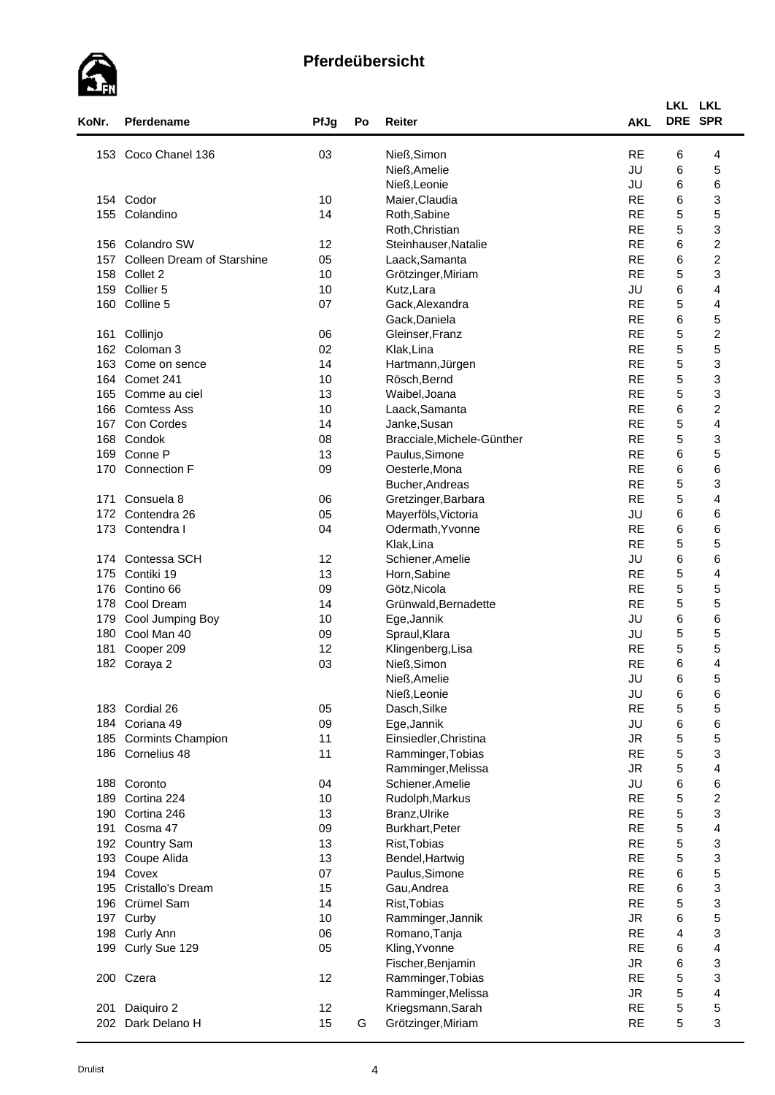

| KoNr. | Pferdename                        | PfJg | Po | Reiter                     | <b>AKL</b>      | LKL LKL<br>DRE SPR |                         |
|-------|-----------------------------------|------|----|----------------------------|-----------------|--------------------|-------------------------|
|       |                                   |      |    |                            |                 |                    |                         |
| 153   | Coco Chanel 136                   | 03   |    | Nieß, Simon                | <b>RE</b>       | 6                  | 4                       |
|       |                                   |      |    | Nieß, Amelie               | JU              | 6                  | 5                       |
|       |                                   |      |    | Nieß, Leonie               | JU<br><b>RE</b> | 6                  | 6                       |
|       | 154 Codor                         | 10   |    | Maier, Claudia             |                 | 6                  | 3                       |
| 155   | Colandino                         | 14   |    | Roth, Sabine               | <b>RE</b>       | 5                  | 5                       |
|       |                                   |      |    | Roth, Christian            | <b>RE</b>       | 5                  | 3                       |
|       | 156 Colandro SW                   | 12   |    | Steinhauser, Natalie       | <b>RE</b>       | 6                  | $\boldsymbol{2}$        |
| 157   | <b>Colleen Dream of Starshine</b> | 05   |    | Laack, Samanta             | <b>RE</b>       | 6                  | $\boldsymbol{2}$        |
| 158   | Collet 2                          | 10   |    | Grötzinger, Miriam         | <b>RE</b>       | 5                  | 3                       |
| 159   | Collier 5                         | 10   |    | Kutz, Lara                 | JU              | 6                  | $\overline{\mathbf{4}}$ |
| 160   | Colline 5                         | 07   |    | Gack, Alexandra            | <b>RE</b>       | 5                  | $\overline{\mathbf{4}}$ |
|       |                                   |      |    | Gack, Daniela              | <b>RE</b>       | 6                  | 5                       |
| 161   | Collinjo                          | 06   |    | Gleinser, Franz            | <b>RE</b>       | 5                  | $\boldsymbol{2}$        |
| 162   | Coloman 3                         | 02   |    | Klak, Lina                 | <b>RE</b>       | $\mathbf 5$        | 5                       |
| 163   | Come on sence                     | 14   |    | Hartmann, Jürgen           | <b>RE</b>       | $\mathbf 5$        | 3                       |
| 164   | Comet 241                         | 10   |    | Rösch, Bernd               | <b>RE</b>       | 5                  | 3                       |
| 165   | Comme au ciel                     | 13   |    | Waibel, Joana              | <b>RE</b>       | 5                  | 3                       |
| 166   | <b>Comtess Ass</b>                | 10   |    | Laack, Samanta             | <b>RE</b>       | 6                  | $\overline{\mathbf{c}}$ |
| 167   | Con Cordes                        | 14   |    | Janke, Susan               | <b>RE</b>       | 5                  | 4                       |
| 168   | Condok                            | 08   |    | Bracciale, Michele-Günther | <b>RE</b>       | 5                  | 3                       |
| 169   | Conne P                           | 13   |    | Paulus, Simone             | <b>RE</b>       | 6                  | 5                       |
| 170   | <b>Connection F</b>               | 09   |    | Oesterle, Mona             | <b>RE</b>       | 6                  | 6                       |
|       |                                   |      |    | Bucher, Andreas            | <b>RE</b>       | 5                  | 3                       |
| 171   | Consuela 8                        | 06   |    | Gretzinger, Barbara        | <b>RE</b>       | 5                  | 4                       |
| 172   | Contendra 26                      | 05   |    | Mayerföls, Victoria        | JU              | 6                  | 6                       |
| 173   | Contendra I                       | 04   |    | Odermath, Yvonne           | <b>RE</b>       | 6                  | 6                       |
|       |                                   |      |    | Klak, Lina                 | <b>RE</b>       | $\mathbf 5$        | 5                       |
|       | 174 Contessa SCH                  | 12   |    | Schiener, Amelie           | JU              | 6                  | 6                       |
| 175   | Contiki 19                        | 13   |    | Horn, Sabine               | <b>RE</b>       | 5                  | 4                       |
| 176   | Contino 66                        | 09   |    | Götz, Nicola               | <b>RE</b>       | 5                  | 5                       |
| 178   | Cool Dream                        | 14   |    | Grünwald, Bernadette       | <b>RE</b>       | 5                  | 5                       |
| 179   | Cool Jumping Boy                  | 10   |    | Ege, Jannik                | JU              | 6                  | 6                       |
| 180   | Cool Man 40                       | 09   |    | Spraul, Klara              | JU              | 5                  | 5                       |
| 181   | Cooper 209                        | 12   |    | Klingenberg, Lisa          | <b>RE</b>       | 5                  | 5                       |
|       | 182 Coraya 2                      | 03   |    | Nieß, Simon                | <b>RE</b>       | 6                  | $\overline{\mathbf{4}}$ |
|       |                                   |      |    | Nieß, Amelie               | JU              | 6                  | 5                       |
|       |                                   |      |    | Nieß, Leonie               | JU              | 6                  | 6                       |
|       | 183 Cordial 26                    | 05   |    | Dasch, Silke               | <b>RE</b>       | 5                  | 5                       |
|       | 184 Coriana 49                    | 09   |    | Ege, Jannik                | JU              | 6                  | 6                       |
| 185   | <b>Cormints Champion</b>          | 11   |    | Einsiedler, Christina      | <b>JR</b>       | 5                  | 5                       |
| 186   | Cornelius 48                      | 11   |    | Ramminger, Tobias          | <b>RE</b>       | 5                  | 3                       |
|       |                                   |      |    | Ramminger, Melissa         | ${\sf JR}$      | 5                  | 4                       |
|       | 188 Coronto                       | 04   |    | Schiener, Amelie           | JU              | 6                  | 6                       |
| 189   | Cortina 224                       | 10   |    | Rudolph, Markus            | <b>RE</b>       | $\mathbf 5$        | $\boldsymbol{2}$        |
| 190   | Cortina 246                       | 13   |    | Branz, Ulrike              | <b>RE</b>       | $\mathbf 5$        | 3                       |
| 191   | Cosma 47                          | 09   |    | Burkhart, Peter            | <b>RE</b>       | 5                  | $\overline{\mathbf{4}}$ |
| 192   | <b>Country Sam</b>                | 13   |    | Rist, Tobias               | <b>RE</b>       | 5                  | 3                       |
| 193   | Coupe Alida                       | 13   |    | Bendel, Hartwig            | <b>RE</b>       | 5                  | 3                       |
| 194   | Covex                             | 07   |    | Paulus, Simone             | <b>RE</b>       | 6                  | 5                       |
| 195   | Cristallo's Dream                 | 15   |    | Gau, Andrea                | <b>RE</b>       | 6                  | 3                       |
| 196   | Crümel Sam                        | 14   |    | Rist, Tobias               | <b>RE</b>       | $\mathbf 5$        | 3                       |
| 197   | Curby                             | 10   |    | Ramminger, Jannik          | <b>JR</b>       | 6                  | 5                       |
| 198   | Curly Ann                         | 06   |    | Romano, Tanja              | <b>RE</b>       | 4                  | 3                       |
| 199   | Curly Sue 129                     | 05   |    | Kling, Yvonne              | <b>RE</b>       | 6                  | 4                       |
|       |                                   |      |    | Fischer, Benjamin          | ${\sf JR}$      | 6                  | 3                       |
| 200   | Czera                             | 12   |    | Ramminger, Tobias          | <b>RE</b>       | 5                  | 3                       |
|       |                                   |      |    | Ramminger, Melissa         | <b>JR</b>       | $\mathbf 5$        | 4                       |
| 201   | Daiquiro 2                        | 12   |    | Kriegsmann, Sarah          | <b>RE</b>       | 5                  | 5                       |
|       |                                   |      |    |                            |                 |                    |                         |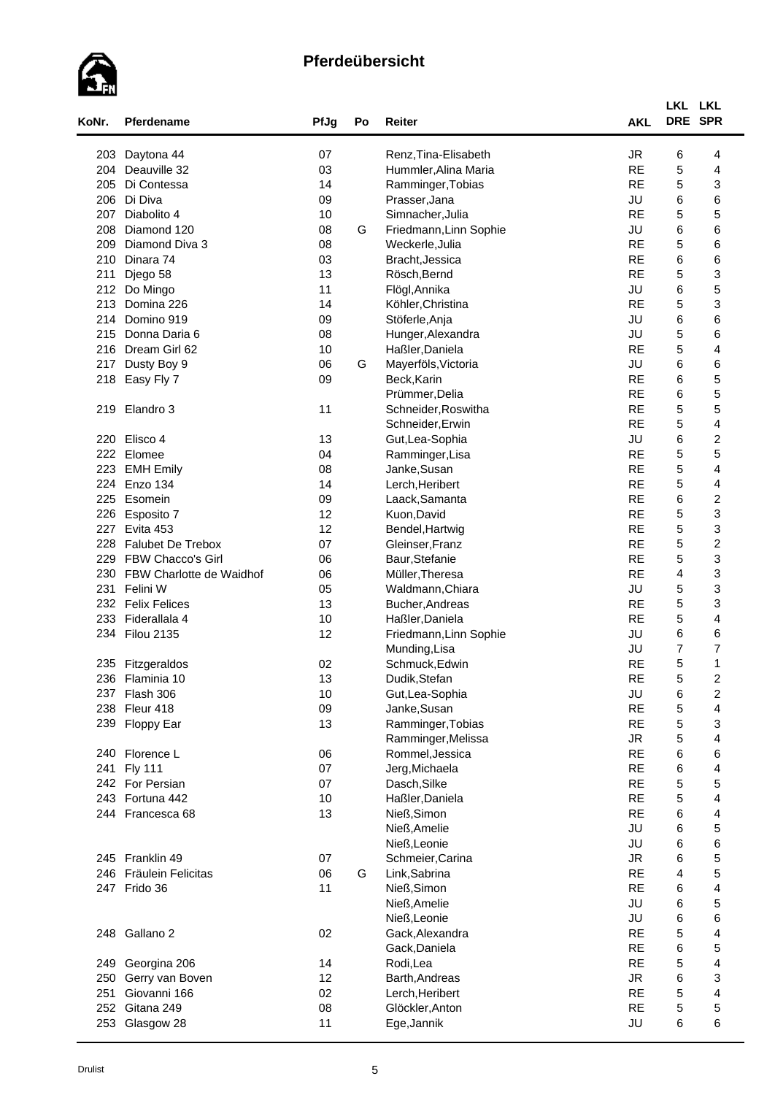

| KoNr. | Pferdename               | PfJg | Po | Reiter                 | <b>AKL</b> | LKL LKL<br>DRE SPR      |                         |
|-------|--------------------------|------|----|------------------------|------------|-------------------------|-------------------------|
|       |                          |      |    |                        |            |                         |                         |
| 203   | Daytona 44               | 07   |    | Renz, Tina-Elisabeth   | <b>JR</b>  | 6                       | 4                       |
| 204   | Deauville 32             | 03   |    | Hummler, Alina Maria   | <b>RE</b>  | $\mathbf 5$             | 4                       |
| 205   | Di Contessa              | 14   |    | Ramminger, Tobias      | <b>RE</b>  | 5                       | 3                       |
| 206   | Di Diva                  | 09   |    | Prasser, Jana          | JU         | 6                       | 6                       |
| 207   | Diabolito 4              | 10   |    | Simnacher, Julia       | <b>RE</b>  | 5                       | 5                       |
| 208   | Diamond 120              | 08   | G  | Friedmann, Linn Sophie | JU         | 6                       | 6                       |
| 209   | Diamond Diva 3           | 08   |    | Weckerle, Julia        | <b>RE</b>  | 5                       | 6                       |
| 210   | Dinara 74                | 03   |    | Bracht, Jessica        | <b>RE</b>  | 6                       | 6                       |
| 211   | Djego 58                 | 13   |    | Rösch, Bernd           | <b>RE</b>  | 5                       | 3                       |
| 212   | Do Mingo                 | 11   |    | Flögl, Annika          | JU         | 6                       | 5                       |
| 213   | Domina 226               | 14   |    | Köhler, Christina      | <b>RE</b>  | 5                       | 3                       |
| 214   | Domino 919               | 09   |    | Stöferle, Anja         | JU         | 6                       | 6                       |
| 215   | Donna Daria 6            | 08   |    | Hunger, Alexandra      | JU         | $\mathbf 5$             | 6                       |
| 216   | Dream Girl 62            | 10   |    | Haßler, Daniela        | <b>RE</b>  | $\mathbf 5$             | 4                       |
| 217   | Dusty Boy 9              | 06   | G  | Mayerföls, Victoria    | JU         | 6                       | 6                       |
| 218   | Easy Fly 7               | 09   |    | Beck, Karin            | <b>RE</b>  | 6                       | 5                       |
|       |                          |      |    | Prümmer, Delia         | <b>RE</b>  | 6                       | 5                       |
|       | 219 Elandro 3            | 11   |    | Schneider, Roswitha    | <b>RE</b>  | 5                       | 5                       |
|       |                          |      |    | Schneider, Erwin       | <b>RE</b>  | 5                       | 4                       |
| 220   | Elisco 4                 | 13   |    | Gut, Lea-Sophia        | JU         | 6                       | $\overline{\mathbf{c}}$ |
|       | 222 Elomee               | 04   |    | Ramminger, Lisa        | <b>RE</b>  | 5                       | 5                       |
| 223   | <b>EMH Emily</b>         | 08   |    | Janke, Susan           | <b>RE</b>  | 5                       | $\overline{\mathbf{4}}$ |
| 224   | Enzo 134                 | 14   |    | Lerch, Heribert        | <b>RE</b>  | 5                       | 4                       |
| 225   | Esomein                  | 09   |    | Laack, Samanta         | <b>RE</b>  | 6                       | $\overline{\mathbf{c}}$ |
| 226   | Esposito 7               | 12   |    | Kuon, David            | <b>RE</b>  | $\mathbf 5$             | 3                       |
| 227   | Evita 453                | 12   |    | Bendel, Hartwig        | <b>RE</b>  | $\mathbf 5$             | 3                       |
| 228   | Falubet De Trebox        | 07   |    | Gleinser, Franz        | <b>RE</b>  | 5                       | $\boldsymbol{2}$        |
| 229   | <b>FBW Chacco's Girl</b> | 06   |    | Baur, Stefanie         | <b>RE</b>  | 5                       | 3                       |
| 230   | FBW Charlotte de Waidhof | 06   |    | Müller, Theresa        | <b>RE</b>  | 4                       | 3                       |
| 231   | Felini W                 | 05   |    | Waldmann, Chiara       | JU         | 5                       | 3                       |
|       | 232 Felix Felices        | 13   |    |                        | <b>RE</b>  | 5                       | 3                       |
| 233   | Fiderallala 4            | 10   |    | Bucher, Andreas        | <b>RE</b>  | 5                       | 4                       |
|       |                          |      |    | Haßler, Daniela        | JU         | 6                       |                         |
|       | 234 Filou 2135           | 12   |    | Friedmann, Linn Sophie |            |                         | 6                       |
|       |                          |      |    | Munding, Lisa          | JU         | $\overline{7}$          | $\overline{7}$          |
| 235   | Fitzgeraldos             | 02   |    | Schmuck, Edwin         | <b>RE</b>  | 5                       | 1                       |
|       | 236 Flaminia 10          | 13   |    | Dudik, Stefan          | <b>RE</b>  | 5                       | $\overline{2}$          |
| 237   | Flash 306                | 10   |    | Gut, Lea-Sophia        | JU         | 6                       | $\overline{\mathbf{c}}$ |
| 238   | Fleur 418                | 09   |    | Janke, Susan           | <b>RE</b>  | $\mathbf 5$             | 4                       |
|       | 239 Floppy Ear           | 13   |    | Ramminger, Tobias      | <b>RE</b>  | 5                       | 3                       |
|       |                          |      |    | Ramminger, Melissa     | <b>JR</b>  | 5                       | 4                       |
|       | 240 Florence L           | 06   |    | Rommel, Jessica        | <b>RE</b>  | 6                       | 6                       |
| 241   | <b>Fly 111</b>           | 07   |    | Jerg, Michaela         | <b>RE</b>  | 6                       | 4                       |
|       | 242 For Persian          | 07   |    | Dasch, Silke           | <b>RE</b>  | 5                       | 5                       |
|       | 243 Fortuna 442          | 10   |    | Haßler, Daniela        | <b>RE</b>  | $\mathbf 5$             | 4                       |
|       | 244 Francesca 68         | 13   |    | Nieß, Simon            | <b>RE</b>  | 6                       | $\overline{\mathbf{4}}$ |
|       |                          |      |    | Nieß, Amelie           | JU         | 6                       | 5                       |
|       |                          |      |    | Nieß, Leonie           | JU         | 6                       | 6                       |
|       | 245 Franklin 49          | 07   |    | Schmeier, Carina       | <b>JR</b>  | 6                       | 5                       |
|       | 246 Fräulein Felicitas   | 06   | G  | Link, Sabrina          | <b>RE</b>  | $\overline{\mathbf{4}}$ | 5                       |
|       | 247 Frido 36             | 11   |    | Nieß, Simon            | <b>RE</b>  | 6                       | 4                       |
|       |                          |      |    | Nieß, Amelie           | JU         | 6                       | 5                       |
|       |                          |      |    | Nieß, Leonie           | JU         | 6                       | 6                       |
|       | 248 Gallano 2            | 02   |    | Gack, Alexandra        | <b>RE</b>  | $\mathbf 5$             | 4                       |
|       |                          |      |    | Gack, Daniela          | <b>RE</b>  | 6                       | 5                       |
| 249   | Georgina 206             | 14   |    | Rodi,Lea               | <b>RE</b>  | 5                       | 4                       |
| 250   | Gerry van Boven          | 12   |    | Barth, Andreas         | <b>JR</b>  | 6                       | 3                       |
| 251   | Giovanni 166             | 02   |    | Lerch, Heribert        | <b>RE</b>  | 5                       | $\overline{\mathbf{4}}$ |
| 252   | Gitana 249               | 08   |    | Glöckler, Anton        | <b>RE</b>  | $\mathbf 5$             | 5                       |
|       | 253 Glasgow 28           | 11   |    | Ege, Jannik            | JU         | 6                       | 6                       |
|       |                          |      |    |                        |            |                         |                         |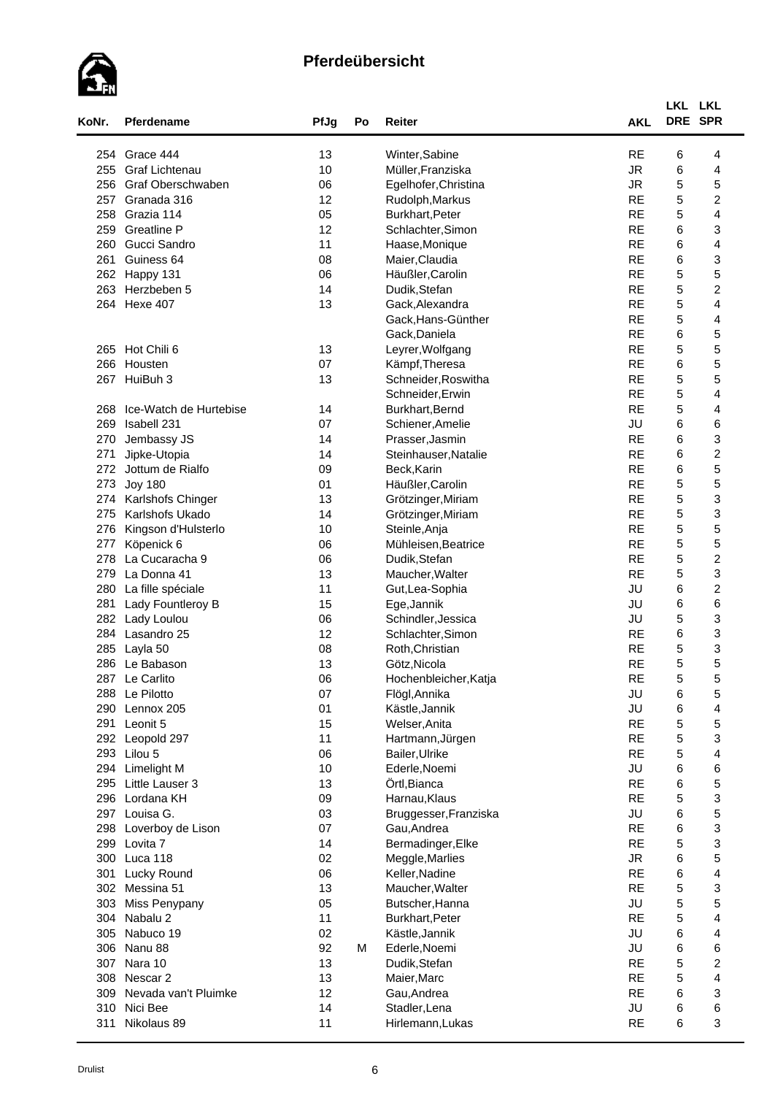

| KoNr. | <b>Pferdename</b>      | PfJg | Po | Reiter                | <b>AKL</b> | LKL LKL<br>DRE SPR |                         |  |
|-------|------------------------|------|----|-----------------------|------------|--------------------|-------------------------|--|
|       |                        |      |    |                       |            |                    |                         |  |
|       | 254 Grace 444          | 13   |    | Winter, Sabine        | <b>RE</b>  | 6                  | 4                       |  |
| 255   | <b>Graf Lichtenau</b>  | 10   |    | Müller, Franziska     | <b>JR</b>  | 6                  | 4                       |  |
| 256   | Graf Oberschwaben      | 06   |    | Egelhofer, Christina  | <b>JR</b>  | 5                  | 5                       |  |
| 257   | Granada 316            | 12   |    | Rudolph, Markus       | <b>RE</b>  | 5                  | $\overline{\mathbf{c}}$ |  |
| 258   | Grazia 114             | 05   |    | Burkhart, Peter       | <b>RE</b>  | 5                  | 4                       |  |
| 259   | <b>Greatline P</b>     | 12   |    | Schlachter, Simon     | <b>RE</b>  | 6                  | 3                       |  |
| 260   | Gucci Sandro           | 11   |    | Haase, Monique        | <b>RE</b>  | 6                  | 4                       |  |
| 261   | Guiness 64             | 08   |    | Maier, Claudia        | <b>RE</b>  | 6                  | 3                       |  |
| 262   | Happy 131              | 06   |    | Häußler, Carolin      | <b>RE</b>  | 5                  | 5                       |  |
| 263   | Herzbeben 5            | 14   |    | Dudik, Stefan         | <b>RE</b>  | 5                  | $\overline{c}$          |  |
|       | 264 Hexe 407           | 13   |    | Gack, Alexandra       | <b>RE</b>  | 5                  | $\overline{\mathbf{4}}$ |  |
|       |                        |      |    | Gack, Hans-Günther    | <b>RE</b>  | 5                  | 4                       |  |
|       |                        |      |    | Gack, Daniela         | <b>RE</b>  | 6                  | 5                       |  |
|       | 265 Hot Chili 6        | 13   |    | Leyrer, Wolfgang      | <b>RE</b>  | 5                  | 5                       |  |
|       | 266 Housten            | 07   |    | Kämpf, Theresa        | <b>RE</b>  | 6                  | 5                       |  |
|       | 267 HuiBuh 3           | 13   |    | Schneider, Roswitha   | <b>RE</b>  | 5                  | 5                       |  |
|       |                        |      |    | Schneider, Erwin      | <b>RE</b>  | 5                  | 4                       |  |
| 268   | Ice-Watch de Hurtebise | 14   |    | Burkhart, Bernd       | <b>RE</b>  | 5                  | 4                       |  |
| 269   | Isabell 231            | 07   |    | Schiener, Amelie      | JU         | 6                  | 6                       |  |
| 270   | Jembassy JS            | 14   |    | Prasser, Jasmin       | <b>RE</b>  | 6                  | 3                       |  |
| 271   | Jipke-Utopia           | 14   |    | Steinhauser, Natalie  | <b>RE</b>  | 6                  | $\boldsymbol{2}$        |  |
| 272   | Jottum de Rialfo       | 09   |    | Beck, Karin           | <b>RE</b>  | 6                  | 5                       |  |
| 273   | <b>Joy 180</b>         | 01   |    | Häußler, Carolin      | <b>RE</b>  | 5                  | 5                       |  |
| 274   | Karlshofs Chinger      | 13   |    | Grötzinger, Miriam    | <b>RE</b>  | 5                  | 3                       |  |
| 275   | Karlshofs Ukado        | 14   |    | Grötzinger, Miriam    | <b>RE</b>  | 5                  | 3                       |  |
| 276   | Kingson d'Hulsterlo    | 10   |    | Steinle, Anja         | <b>RE</b>  | 5                  | 5                       |  |
| 277   | Köpenick 6             | 06   |    | Mühleisen, Beatrice   | <b>RE</b>  | 5                  | 5                       |  |
| 278   | La Cucaracha 9         | 06   |    | Dudik, Stefan         | <b>RE</b>  | 5                  | $\boldsymbol{2}$        |  |
| 279   | La Donna 41            | 13   |    | Maucher, Walter       | <b>RE</b>  | 5                  | 3                       |  |
| 280   | La fille spéciale      | 11   |    | Gut, Lea-Sophia       | JU         | 6                  | $\overline{\mathbf{c}}$ |  |
| 281   | Lady Fountleroy B      | 15   |    | Ege, Jannik           | JU         | 6                  | 6                       |  |
| 282   | Lady Loulou            | 06   |    | Schindler, Jessica    | JU         | 5                  | 3                       |  |
|       | 284 Lasandro 25        | 12   |    | Schlachter, Simon     | <b>RE</b>  | 6                  | 3                       |  |
| 285   | Layla 50               | 08   |    | Roth, Christian       | <b>RE</b>  | 5                  | 3                       |  |
|       | 286 Le Babason         | 13   |    | Götz, Nicola          | <b>RE</b>  | 5                  | 5                       |  |
|       | 287 Le Carlito         | 06   |    | Hochenbleicher, Katja | <b>RE</b>  | $\mathbf 5$        | 5                       |  |
|       | 288 Le Pilotto         | 07   |    | Flögl, Annika         | JU         | 6                  | 5                       |  |
|       | 290 Lennox 205         | 01   |    | Kästle, Jannik        | JU         | 6                  | 4                       |  |
| 291   | Leonit 5               | 15   |    | Welser, Anita         | <b>RE</b>  | $\mathbf 5$        | 5                       |  |
|       | 292 Leopold 297        | 11   |    | Hartmann, Jürgen      | <b>RE</b>  | 5                  | 3                       |  |
|       | 293 Lilou 5            | 06   |    | Bailer, Ulrike        | <b>RE</b>  | 5                  | 4                       |  |
|       | 294 Limelight M        | 10   |    | Ederle, Noemi         | JU         | 6                  | 6                       |  |
| 295   | Little Lauser 3        | 13   |    | Örtl, Bianca          | <b>RE</b>  | 6                  | 5                       |  |
| 296   | Lordana KH             | 09   |    | Harnau, Klaus         | <b>RE</b>  | 5                  | 3                       |  |
|       | 297 Louisa G.          | 03   |    | Bruggesser, Franziska | JU         | 6                  | 5                       |  |
| 298   | Loverboy de Lison      | 07   |    | Gau, Andrea           | <b>RE</b>  | 6                  | 3                       |  |
| 299   | Lovita 7               | 14   |    | Bermadinger, Elke     | <b>RE</b>  | 5                  | 3                       |  |
|       | 300 Luca 118           | 02   |    | Meggle, Marlies       | ${\sf JR}$ | 6                  | 5                       |  |
| 301   | Lucky Round            | 06   |    | Keller, Nadine        | <b>RE</b>  | 6                  | $\overline{\mathbf{4}}$ |  |
|       | 302 Messina 51         | 13   |    | Maucher, Walter       | <b>RE</b>  | $\mathbf 5$        | 3                       |  |
| 303   | Miss Penypany          | 05   |    | Butscher, Hanna       | JU         | $\mathbf 5$        | 5                       |  |
| 304   | Nabalu 2               | 11   |    | Burkhart, Peter       | <b>RE</b>  | 5                  | 4                       |  |
| 305   | Nabuco 19              | 02   |    | Kästle, Jannik        | JU         | 6                  | 4                       |  |
|       | 306 Nanu 88            | 92   | М  | Ederle, Noemi         | JU         | 6                  | 6                       |  |
| 307   | Nara 10                | 13   |    | Dudik, Stefan         | <b>RE</b>  | 5                  | $\overline{\mathbf{c}}$ |  |
|       | 308 Nescar 2           | 13   |    | Maier, Marc           | <b>RE</b>  | 5                  | 4                       |  |
| 309   | Nevada van't Pluimke   | 12   |    | Gau, Andrea           | <b>RE</b>  | 6                  | 3                       |  |
| 310   | Nici Bee               | 14   |    | Stadler, Lena         | JU         | 6                  | 6                       |  |
| 311   | Nikolaus 89            | 11   |    | Hirlemann, Lukas      | <b>RE</b>  | 6                  | 3                       |  |
|       |                        |      |    |                       |            |                    |                         |  |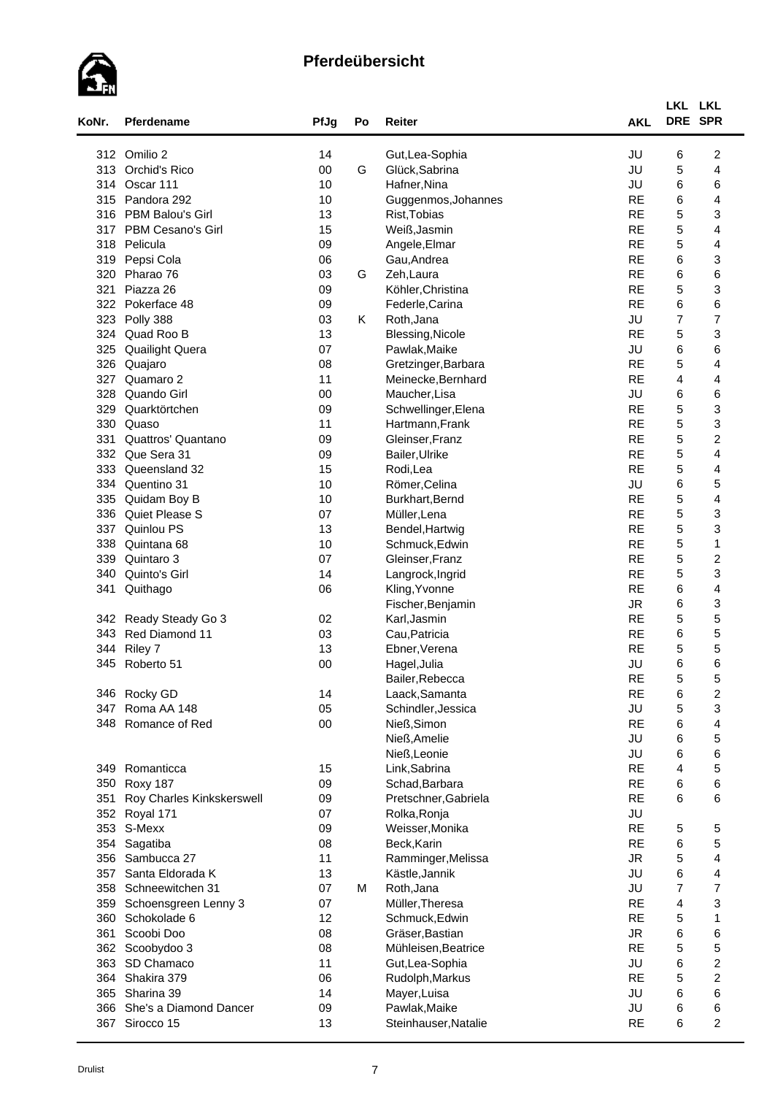

| 314<br>315<br>316<br>317<br>318<br>319 | 312 Omilio 2<br>313 Orchid's Rico<br>Oscar 111<br>Pandora 292 | 14<br>$00\,$ |   | Gut, Lea-Sophia         | JU        |                |                         |  |
|----------------------------------------|---------------------------------------------------------------|--------------|---|-------------------------|-----------|----------------|-------------------------|--|
|                                        |                                                               |              |   |                         |           | 6              | $\overline{\mathbf{c}}$ |  |
|                                        |                                                               |              | G | Glück, Sabrina          | JU        | 5              | $\overline{\mathbf{4}}$ |  |
|                                        |                                                               | 10           |   | Hafner, Nina            | JU        | 6              | 6                       |  |
|                                        |                                                               | 10           |   | Guggenmos, Johannes     | <b>RE</b> | 6              | 4                       |  |
|                                        | PBM Balou's Girl                                              | 13           |   | Rist, Tobias            | <b>RE</b> | 5              | 3                       |  |
|                                        | PBM Cesano's Girl                                             | 15           |   | Weiß, Jasmin            | <b>RE</b> | 5              | 4                       |  |
|                                        | Pelicula                                                      | 09           |   | Angele, Elmar           | <b>RE</b> | 5              | 4                       |  |
|                                        | Pepsi Cola                                                    | 06           |   | Gau, Andrea             | <b>RE</b> | 6              | 3                       |  |
| 320                                    | Pharao 76                                                     | 03           | G | Zeh, Laura              | <b>RE</b> | 6              | 6                       |  |
| 321                                    | Piazza 26                                                     | 09           |   | Köhler, Christina       | <b>RE</b> | 5              | 3                       |  |
| 322                                    | Pokerface 48                                                  | 09           |   | Federle, Carina         | <b>RE</b> | 6              | 6                       |  |
| 323                                    | Polly 388                                                     | 03           | Κ | Roth, Jana              | JU        | $\overline{7}$ | $\overline{7}$          |  |
| 324                                    | Quad Roo B                                                    | 13           |   | <b>Blessing, Nicole</b> | <b>RE</b> | $\mathbf 5$    | 3                       |  |
| 325                                    | <b>Quailight Quera</b>                                        | 07           |   | Pawlak, Maike           | JU        | 6              | 6                       |  |
| 326                                    | Quajaro                                                       | 08           |   | Gretzinger, Barbara     | <b>RE</b> | 5              | 4                       |  |
| 327                                    | Quamaro 2                                                     | 11           |   | Meinecke, Bernhard      | <b>RE</b> | 4              | 4                       |  |
| 328                                    | Quando Girl                                                   | 00           |   | Maucher, Lisa           | JU        | 6              | 6                       |  |
| 329                                    | Quarktörtchen                                                 | 09           |   |                         | <b>RE</b> | 5              | 3                       |  |
|                                        |                                                               |              |   | Schwellinger, Elena     |           | 5              |                         |  |
| 330                                    | Quaso                                                         | 11           |   | Hartmann, Frank         | <b>RE</b> |                | 3                       |  |
| 331                                    | Quattros' Quantano                                            | 09           |   | Gleinser, Franz         | <b>RE</b> | 5              | $\boldsymbol{2}$        |  |
|                                        | 332 Que Sera 31                                               | 09           |   | Bailer, Ulrike          | <b>RE</b> | 5              | 4                       |  |
| 333                                    | Queensland 32                                                 | 15           |   | Rodi.Lea                | <b>RE</b> | 5              | 4                       |  |
| 334                                    | Quentino 31                                                   | 10           |   | Römer, Celina           | JU        | 6              | 5                       |  |
| 335                                    | Quidam Boy B                                                  | 10           |   | Burkhart, Bernd         | <b>RE</b> | 5              | $\overline{\mathbf{4}}$ |  |
| 336                                    | Quiet Please S                                                | 07           |   | Müller, Lena            | <b>RE</b> | 5              | 3                       |  |
| 337                                    | Quinlou PS                                                    | 13           |   | Bendel, Hartwig         | <b>RE</b> | 5              | 3                       |  |
| 338                                    | Quintana 68                                                   | 10           |   | Schmuck, Edwin          | <b>RE</b> | 5              | $\overline{1}$          |  |
| 339                                    | Quintaro 3                                                    | 07           |   | Gleinser, Franz         | <b>RE</b> | 5              | $\boldsymbol{2}$        |  |
| 340                                    | Quinto's Girl                                                 | 14           |   | Langrock, Ingrid        | <b>RE</b> | 5              | 3                       |  |
| 341                                    | Quithago                                                      | 06           |   | Kling, Yvonne           | <b>RE</b> | 6              | 4                       |  |
|                                        |                                                               |              |   | Fischer, Benjamin       | <b>JR</b> | 6              | 3                       |  |
| 342                                    | Ready Steady Go 3                                             | 02           |   | Karl, Jasmin            | <b>RE</b> | 5              | 5                       |  |
| 343                                    | Red Diamond 11                                                | 03           |   | Cau, Patricia           | <b>RE</b> | 6              | 5                       |  |
| 344                                    | Riley 7                                                       | 13           |   | Ebner, Verena           | <b>RE</b> | 5              | 5                       |  |
| 345                                    | Roberto 51                                                    | 00           |   | Hagel, Julia            | JU        | 6              | 6                       |  |
|                                        |                                                               |              |   | Bailer, Rebecca         | <b>RE</b> | 5              | 5                       |  |
| 346                                    | Rocky GD                                                      | 14           |   | Laack, Samanta          | <b>RE</b> | 6              | 2                       |  |
| 347                                    | Roma AA 148                                                   | 05           |   | Schindler, Jessica      | JU        | 5              | 3                       |  |
| 348                                    | Romance of Red                                                | $00\,$       |   | Nieß, Simon             | <b>RE</b> | 6              | $\overline{\mathbf{4}}$ |  |
|                                        |                                                               |              |   | Nieß, Amelie            | JU        | 6              | 5                       |  |
|                                        |                                                               |              |   | Nieß, Leonie            | JU        | 6              | 6                       |  |
| 349                                    | Romanticca                                                    | 15           |   | Link, Sabrina           | <b>RE</b> | 4              | 5                       |  |
| 350                                    | Roxy 187                                                      | 09           |   | Schad, Barbara          | <b>RE</b> | 6              | 6                       |  |
| 351                                    | Roy Charles Kinkskerswell                                     | 09           |   | Pretschner, Gabriela    | <b>RE</b> | 6              | 6                       |  |
| 352                                    | Royal 171                                                     | 07           |   | Rolka, Ronja            | JU        |                |                         |  |
|                                        | 353 S-Mexx                                                    | 09           |   | Weisser, Monika         | <b>RE</b> | 5              | 5                       |  |
| 354                                    | Sagatiba                                                      | 08           |   | Beck, Karin             | <b>RE</b> | 6              | 5                       |  |
| 356                                    | Sambucca 27                                                   | 11           |   | Ramminger, Melissa      | <b>JR</b> | 5              | $\overline{\mathbf{4}}$ |  |
| 357                                    | Santa Eldorada K                                              | 13           |   | Kästle, Jannik          | JU        | 6              | $\overline{\mathbf{4}}$ |  |
| 358                                    | Schneewitchen 31                                              | 07           | м | Roth, Jana              | JU        | $\overline{7}$ | $\overline{7}$          |  |
| 359                                    | Schoensgreen Lenny 3                                          | 07           |   | Müller, Theresa         | <b>RE</b> | 4              | 3                       |  |
| 360                                    | Schokolade 6                                                  | 12           |   | Schmuck, Edwin          | <b>RE</b> | $\mathbf 5$    | $\mathbf{1}$            |  |
| 361                                    | Scoobi Doo                                                    | 08           |   | Gräser, Bastian         | <b>JR</b> | 6              | 6                       |  |
| 362                                    | Scoobydoo 3                                                   | 08           |   | Mühleisen, Beatrice     | <b>RE</b> | 5              | 5                       |  |
| 363                                    | SD Chamaco                                                    | 11           |   | Gut, Lea-Sophia         | JU        | 6              | $\overline{\mathbf{c}}$ |  |
| 364                                    | Shakira 379                                                   | 06           |   | Rudolph, Markus         | <b>RE</b> | 5              | $\overline{\mathbf{c}}$ |  |
| 365                                    | Sharina 39                                                    | 14           |   | Mayer, Luisa            | JU        | 6              | 6                       |  |
|                                        | 366 She's a Diamond Dancer                                    | 09           |   | Pawlak, Maike           | JU        | 6              | 6                       |  |
| 367                                    | Sirocco 15                                                    | 13           |   | Steinhauser, Natalie    | <b>RE</b> | 6              | $\overline{c}$          |  |